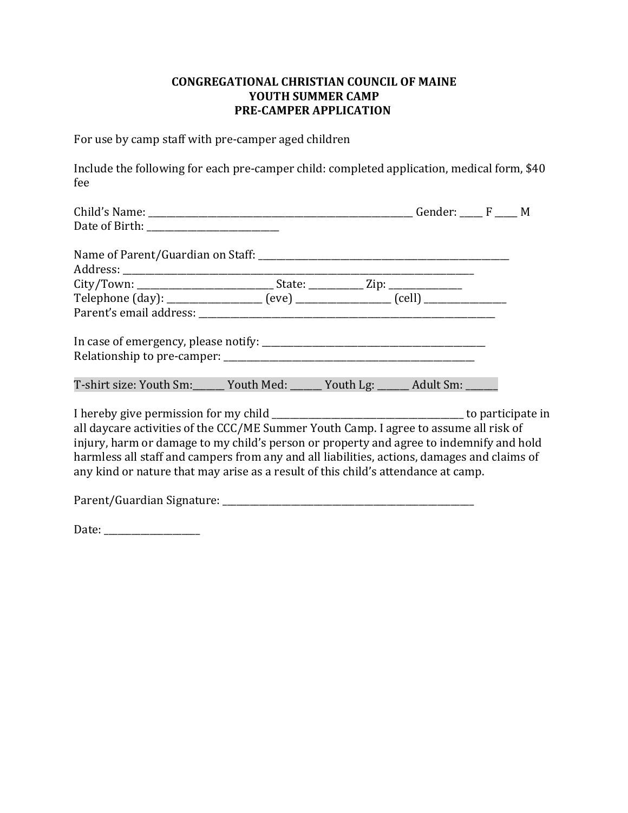# **CONGREGATIONAL CHRISTIAN COUNCIL OF MAINE** YOUTH SUMMER CAMP **PRE-CAMPER APPLICATION**

For use by camp staff with pre-camper aged children

Include the following for each pre-camper child: completed application, medical form, \$40 fee 

| T-shirt size: Youth Sm: ______ Youth Med: _____ Youth Lg: _____ Adult Sm: _____                                                                                                                                                                                                                                                                                      |  |  |  |  |  |  |  |
|----------------------------------------------------------------------------------------------------------------------------------------------------------------------------------------------------------------------------------------------------------------------------------------------------------------------------------------------------------------------|--|--|--|--|--|--|--|
| all daycare activities of the CCC/ME Summer Youth Camp. I agree to assume all risk of<br>injury, harm or damage to my child's person or property and agree to indemnify and hold<br>harmless all staff and campers from any and all liabilities, actions, damages and claims of<br>any kind or nature that may arise as a result of this child's attendance at camp. |  |  |  |  |  |  |  |
|                                                                                                                                                                                                                                                                                                                                                                      |  |  |  |  |  |  |  |

Date: \_\_\_\_\_\_\_\_\_\_\_\_\_\_\_\_\_\_\_\_\_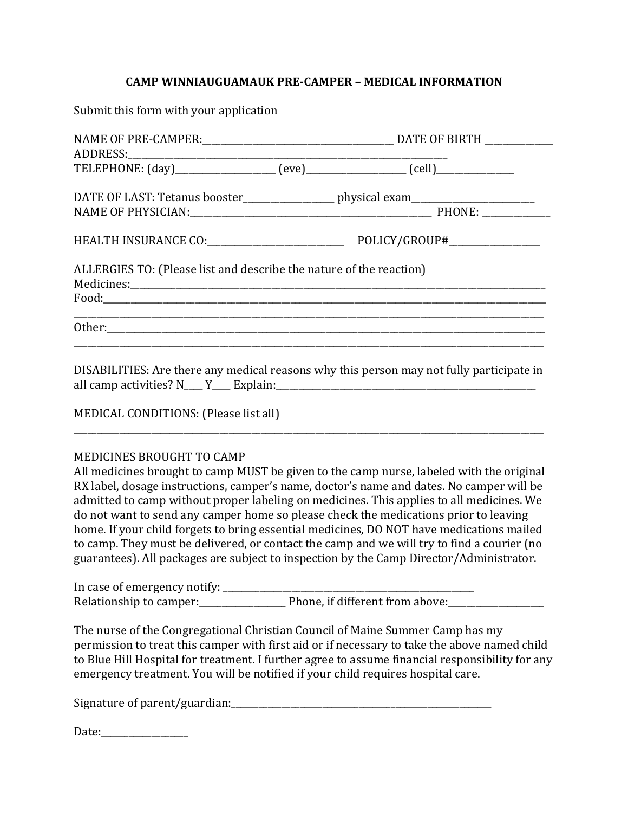## **CAMP WINNIAUGUAMAUK PRE-CAMPER – MEDICAL INFORMATION**

Submit this form with your application

| TELEPHONE: (day)__________________ (eve)__________________ (cell)_______________  |                                 |  |
|-----------------------------------------------------------------------------------|---------------------------------|--|
| DATE OF LAST: Tetanus booster__________________ physical exam____________________ |                                 |  |
|                                                                                   | POLICY/GROUP#__________________ |  |
| ALLERGIES TO: (Please list and describe the nature of the reaction)               |                                 |  |
|                                                                                   |                                 |  |

DISABILITIES: Are there any medical reasons why this person may not fully participate in all camp activities?  $N_{\text{N}}$   $\sim$   $Y_{\text{N}}$  Explain:

\_\_\_\_\_\_\_\_\_\_\_\_\_\_\_\_\_\_\_\_\_\_\_\_\_\_\_\_\_\_\_\_\_\_\_\_\_\_\_\_\_\_\_\_\_\_\_\_\_\_\_\_\_\_\_\_\_\_\_\_\_\_\_\_\_\_\_\_\_\_\_\_\_\_\_\_\_\_\_\_\_\_\_\_\_\_\_\_\_\_\_\_\_\_\_\_\_\_\_\_\_\_\_ 

MEDICAL CONDITIONS: (Please list all)

#### MEDICINES BROUGHT TO CAMP

All medicines brought to camp MUST be given to the camp nurse, labeled with the original RX label, dosage instructions, camper's name, doctor's name and dates. No camper will be admitted to camp without proper labeling on medicines. This applies to all medicines. We do not want to send any camper home so please check the medications prior to leaving home. If your child forgets to bring essential medicines, DO NOT have medications mailed to camp. They must be delivered, or contact the camp and we will try to find a courier (no guarantees). All packages are subject to inspection by the Camp Director/Administrator.

In case of emergency notify: \_\_\_\_\_\_\_\_\_\_\_\_\_\_\_\_\_\_\_\_\_\_\_\_\_\_\_\_\_\_\_\_\_\_\_\_\_\_\_\_\_\_\_\_\_\_\_\_\_\_\_\_\_\_\_ Relationship to camper:\_\_\_\_\_\_\_\_\_\_\_\_\_\_\_\_\_\_\_ Phone, if different from above:\_\_\_\_\_\_\_\_\_\_\_\_\_\_\_\_\_\_\_\_\_ 

The nurse of the Congregational Christian Council of Maine Summer Camp has my permission to treat this camper with first aid or if necessary to take the above named child to Blue Hill Hospital for treatment. I further agree to assume financial responsibility for any emergency treatment. You will be notified if your child requires hospital care.

Signature of parent/guardian:\_\_\_\_\_\_\_\_\_\_\_\_\_\_\_\_\_\_\_\_\_\_\_\_\_\_\_\_\_\_\_\_\_\_\_\_\_\_\_\_\_\_\_\_\_\_\_\_\_\_\_\_\_\_\_\_\_ 

Date:\_\_\_\_\_\_\_\_\_\_\_\_\_\_\_\_\_\_\_